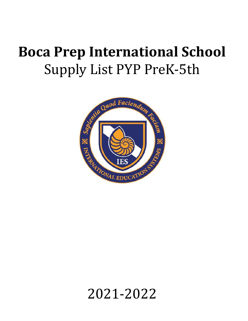## **Boca Prep International School** Supply List PYP PreK-5th



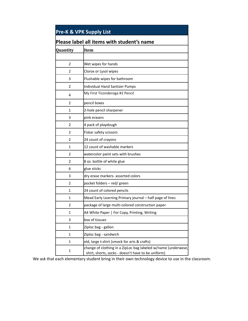| <b>Pre-K &amp; VPK Supply List</b><br>Please label all items with student's name |                                                                                                                     |  |
|----------------------------------------------------------------------------------|---------------------------------------------------------------------------------------------------------------------|--|
|                                                                                  |                                                                                                                     |  |
|                                                                                  |                                                                                                                     |  |
| 2                                                                                | Wet wipes for hands                                                                                                 |  |
| 2                                                                                | Clorox or Lysol wipes                                                                                               |  |
| 3                                                                                | Flushable wipes for bathroom                                                                                        |  |
| 2                                                                                | <b>Individual Hand Santizer Pumps</b>                                                                               |  |
| 4                                                                                | My First Ticonderoga #2 Pencil                                                                                      |  |
| 2                                                                                | pencil boxes                                                                                                        |  |
| 1                                                                                | 2-hole pencil sharpener                                                                                             |  |
| 3                                                                                | pink erasers                                                                                                        |  |
| 2                                                                                | 4 pack of playdough                                                                                                 |  |
| 2                                                                                | Fiskar safety scissors                                                                                              |  |
| 2                                                                                | 24 count of crayons                                                                                                 |  |
| 1                                                                                | 12 count of washable markers                                                                                        |  |
| 2                                                                                | watercolor paint sets with brushes                                                                                  |  |
| 2                                                                                | 8 oz. bottle of white glue                                                                                          |  |
| 6                                                                                | glue sticks                                                                                                         |  |
| 3                                                                                | dry erase markers- assorted colors                                                                                  |  |
| 2                                                                                | pocket folders - red/ green                                                                                         |  |
| 1                                                                                | 24 count of colored pencils                                                                                         |  |
| 1                                                                                | Mead Early Learning Primary journal - half page of lines                                                            |  |
| 2                                                                                | package of large multi-colored construction paper                                                                   |  |
| 1                                                                                | A4 White Paper   For Copy, Printing, Writing                                                                        |  |
| 3                                                                                | box of tissues                                                                                                      |  |
| 1                                                                                | Ziploc bag - gallon                                                                                                 |  |
| 1                                                                                | Ziploc bag - sandwich                                                                                               |  |
| 1                                                                                | old, large t-shirt (smock for arts & crafts)                                                                        |  |
| 1                                                                                | change of clothing in a ZipLoc bag labeled w/name (underwear,<br>shirt, shorts, socks - doesn't have to be uniform) |  |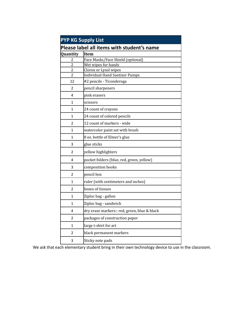| <b>PYP KG Supply List</b>        |                                                                |  |
|----------------------------------|----------------------------------------------------------------|--|
|                                  | Please label all items with student's name                     |  |
| Quantity                         | <b>Item</b>                                                    |  |
| $\overline{c}$                   | Face Masks/Face Shield (optional)                              |  |
| $\overline{2}$                   | Wet wipes for hands                                            |  |
| $\overline{c}$<br>$\overline{2}$ | Clorox or Lysol wipes<br><b>Individual Hand Santizer Pumps</b> |  |
| 12                               | #2 pencils - Ticonderoga                                       |  |
|                                  |                                                                |  |
| 2                                | pencil sharpeners                                              |  |
| 4                                | pink erasers                                                   |  |
| $\mathbf{1}$                     | scissors                                                       |  |
| 1                                | 24 count of crayons                                            |  |
| 1                                | 24 count of colored pencils                                    |  |
| $\overline{2}$                   | 12 count of markers - wide                                     |  |
| $\mathbf{1}$                     | watercolor paint set with brush                                |  |
| $\mathbf{1}$                     | 8 oz. bottle of Elmer's glue                                   |  |
| 3                                | glue sticks                                                    |  |
| $\overline{2}$                   | yellow highlighters                                            |  |
| 4                                | pocket folders (blue, red, green, yellow)                      |  |
| 3                                | composition books                                              |  |
| $\overline{2}$                   | pencil box                                                     |  |
| 1                                | ruler (with centimeters and inches)                            |  |
| 2                                | boxes of tissues                                               |  |
| $\mathbf{1}$                     | Ziploc bag - gallon                                            |  |
| 1                                | Ziploc bag - sandwich                                          |  |
| 4                                | dry erase markers:: red, green, blue & black                   |  |
| 2                                | packages of construction paper                                 |  |
| 1                                | large t-shirt for art                                          |  |
| 2                                | black permanent markers                                        |  |
| 3                                | Sticky note pads                                               |  |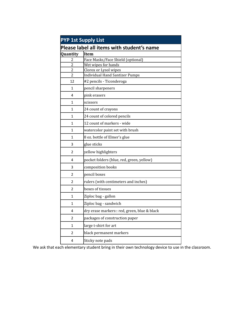| <b>PYP 1st Supply List</b> |                                              |  |  |
|----------------------------|----------------------------------------------|--|--|
|                            | Please label all items with student's name   |  |  |
| Quantity                   | <b>Item</b>                                  |  |  |
| $\overline{c}$             | Face Masks/Face Shield (optional)            |  |  |
| $\overline{2}$             | Wet wipes for hands                          |  |  |
| $\overline{c}$             | Clorox or Lysol wipes                        |  |  |
| $\overline{c}$             | <b>Individual Hand Santizer Pumps</b>        |  |  |
| 12                         | #2 pencils - Ticonderoga                     |  |  |
| $\mathbf{1}$               | pencil sharpeners                            |  |  |
| 4                          | pink erasers                                 |  |  |
| 1                          | scissors                                     |  |  |
| 1                          | 24 count of crayons                          |  |  |
| $\mathbf{1}$               | 24 count of colored pencils                  |  |  |
| $\mathbf{1}$               | 12 count of markers - wide                   |  |  |
| $\mathbf{1}$               | watercolor paint set with brush              |  |  |
| $\mathbf{1}$               | 8 oz. bottle of Elmer's glue                 |  |  |
| 3                          | glue sticks                                  |  |  |
| $\overline{2}$             | yellow highlighters                          |  |  |
| 4                          | pocket folders (blue, red, green, yellow)    |  |  |
| 3                          | composition books                            |  |  |
| 2                          | pencil boxes                                 |  |  |
| 2                          | rulers (with centimeters and inches)         |  |  |
| 2                          | boxes of tissues                             |  |  |
| $\mathbf{1}$               | Ziploc bag - gallon                          |  |  |
| 1                          | Ziploc bag - sandwich                        |  |  |
| 4                          | dry erase markers:: red, green, blue & black |  |  |
| 2                          | packages of construction paper               |  |  |
| $\mathbf{1}$               | large t-shirt for art                        |  |  |
| 2                          | black permanent markers                      |  |  |
| 4                          | Sticky note pads                             |  |  |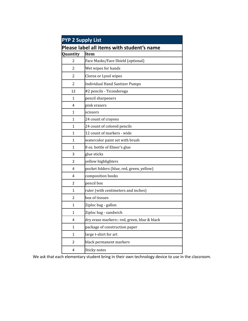| <b>PYP 2 Supply List</b>                   |                                              |  |
|--------------------------------------------|----------------------------------------------|--|
| Please label all items with student's name |                                              |  |
| Quantity                                   | <b>Item</b>                                  |  |
| $\overline{2}$                             | Face Masks/Face Shield (optional)            |  |
| 2                                          | Wet wipes for hands                          |  |
| $\overline{2}$                             | Clorox or Lysol wipes                        |  |
| $\overline{2}$                             | <b>Individual Hand Santizer Pumps</b>        |  |
| 12                                         | #2 pencils - Ticonderoga                     |  |
| $\mathbf{1}$                               | pencil sharpeners                            |  |
| 4                                          | pink erasers                                 |  |
| 1                                          | scissors                                     |  |
| 1                                          | 24 count of crayons                          |  |
| 1                                          | 24 count of colored pencils                  |  |
| 1                                          | 12 count of markers - wide                   |  |
| 1                                          | watercolor paint set with brush              |  |
| 1                                          | 8 oz. bottle of Elmer's glue                 |  |
| 3                                          | glue sticks                                  |  |
| $\mathfrak{p}$                             | yellow highlighters                          |  |
| 4                                          | pocket folders (blue, red, green, yellow)    |  |
| 4                                          | composition books                            |  |
| 2                                          | pencil box                                   |  |
| $\mathbf{1}$                               | ruler (with centimeters and inches)          |  |
| 2                                          | box of tissues                               |  |
| $\mathbf{1}$                               | Ziploc bag - gallon                          |  |
| 1                                          | Ziploc bag - sandwich                        |  |
| 4                                          | dry erase markers:: red, green, blue & black |  |
| $\mathbf{1}$                               | package of construction paper                |  |
| $\mathbf{1}$                               | large t-shirt for art                        |  |
| $\overline{2}$                             | black permanent markers                      |  |
| 4                                          | Sticky notes                                 |  |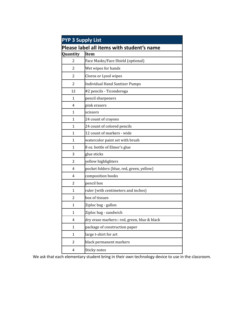| <b>PYP 3 Supply List</b>                   |                                              |  |
|--------------------------------------------|----------------------------------------------|--|
| Please label all items with student's name |                                              |  |
| Quantity                                   | <b>Item</b>                                  |  |
| $\overline{2}$                             | Face Masks/Face Shield (optional)            |  |
| 2                                          | Wet wipes for hands                          |  |
| $\overline{2}$                             | Clorox or Lysol wipes                        |  |
| $\overline{2}$                             | <b>Individual Hand Santizer Pumps</b>        |  |
| 12                                         | #2 pencils - Ticonderoga                     |  |
| $\mathbf{1}$                               | pencil sharpeners                            |  |
| 4                                          | pink erasers                                 |  |
| 1                                          | scissors                                     |  |
| 1                                          | 24 count of crayons                          |  |
| 1                                          | 24 count of colored pencils                  |  |
| 1                                          | 12 count of markers - wide                   |  |
| 1                                          | watercolor paint set with brush              |  |
| 1                                          | 8 oz. bottle of Elmer's glue                 |  |
| 3                                          | glue sticks                                  |  |
| $\mathfrak{p}$                             | yellow highlighters                          |  |
| 4                                          | pocket folders (blue, red, green, yellow)    |  |
| 4                                          | composition books                            |  |
| 2                                          | pencil box                                   |  |
| $\mathbf{1}$                               | ruler (with centimeters and inches)          |  |
| 2                                          | box of tissues                               |  |
| $\mathbf{1}$                               | Ziploc bag - gallon                          |  |
| 1                                          | Ziploc bag - sandwich                        |  |
| 4                                          | dry erase markers:: red, green, blue & black |  |
| $\mathbf{1}$                               | package of construction paper                |  |
| $\mathbf{1}$                               | large t-shirt for art                        |  |
| $\overline{2}$                             | black permanent markers                      |  |
| 4                                          | Sticky notes                                 |  |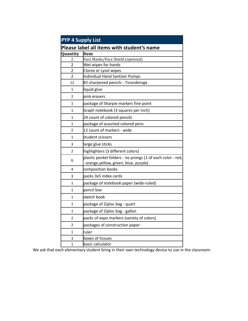| <b>PYP 4 Supply List</b>                   |                                                                                                    |  |
|--------------------------------------------|----------------------------------------------------------------------------------------------------|--|
| Please label all items with student's name |                                                                                                    |  |
| <b>Quantity</b>                            | <b>Item</b>                                                                                        |  |
| $\overline{c}$                             | Face Masks/Face Shield (optional)                                                                  |  |
| $\overline{2}$                             | Wet wipes for hands                                                                                |  |
| $\overline{\mathbf{c}}$                    | Clorox or Lysol wipes                                                                              |  |
| $\overline{2}$                             | Individual Hand Santizer Pumps                                                                     |  |
| 12                                         | #2 sharpened pencils - Ticonderoga                                                                 |  |
| 1                                          | liquid glue                                                                                        |  |
| 2                                          | pink erasers                                                                                       |  |
| 1                                          | package of Sharpie markers fine point                                                              |  |
| 1                                          | Graph notebook (3 squares per inch)                                                                |  |
| 1                                          | 24 count of colored pencils                                                                        |  |
| 1                                          | package of assorted colored pens                                                                   |  |
| 2                                          | 12 count of markers - wide                                                                         |  |
| 1                                          | student scissors                                                                                   |  |
| 3                                          | large glue sticks                                                                                  |  |
| 2                                          | highlighters (3 different colors)                                                                  |  |
| 6                                          | plastic pocket folders - no prongs (1 of each color - red,<br>orange, yellow, green, blue, purple) |  |
| 4                                          | composition books                                                                                  |  |
| 3                                          | packs 3x5 index cards                                                                              |  |
| 1                                          | package of notebook paper (wide-ruled)                                                             |  |
| 1                                          | pencil box                                                                                         |  |
| 1                                          | sketch book                                                                                        |  |
| 1                                          | package of Ziploc bag - quart                                                                      |  |
| 1                                          | package of Ziploc bag - gallon                                                                     |  |
| 2                                          | packs of expo markers (variety of colors)                                                          |  |
| 2                                          | packages of construction paper                                                                     |  |
| 1                                          | ruler                                                                                              |  |
| 3                                          | boxes of tissues                                                                                   |  |
| 1                                          | basic calculator                                                                                   |  |